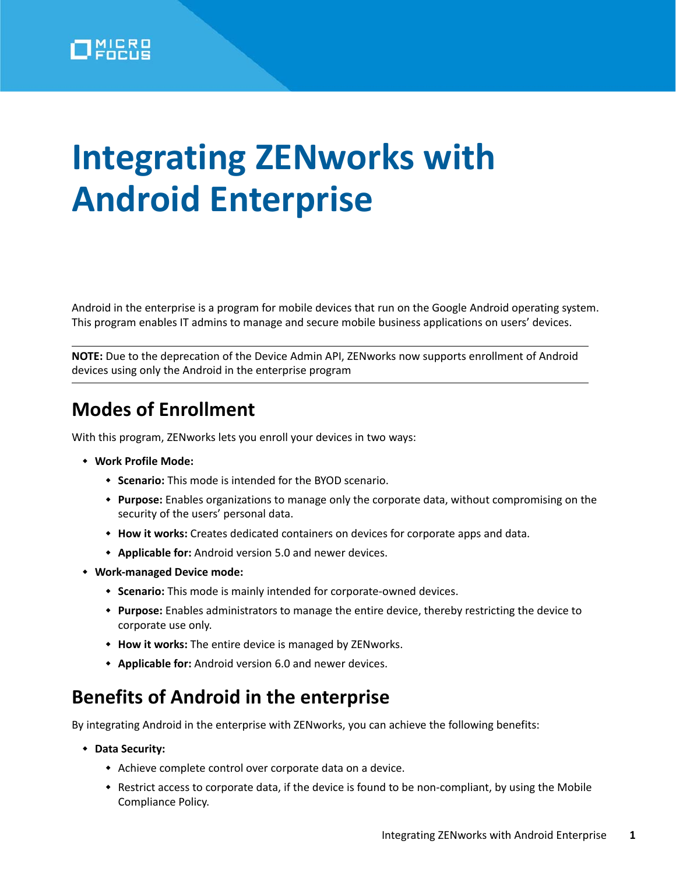# **Integrating ZENworks with Android Enterprise**

Android in the enterprise is a program for mobile devices that run on the Google Android operating system. This program enables IT admins to manage and secure mobile business applications on users' devices.

**NOTE:** Due to the deprecation of the Device Admin API, ZENworks now supports enrollment of Android devices using only the Android in the enterprise program

## **Modes of Enrollment**

With this program, ZENworks lets you enroll your devices in two ways:

- **Work Profile Mode:**
	- **Scenario:** This mode is intended for the BYOD scenario.
	- **Purpose:** Enables organizations to manage only the corporate data, without compromising on the security of the users' personal data.
	- **How it works:** Creates dedicated containers on devices for corporate apps and data.
	- **Applicable for:** Android version 5.0 and newer devices.
- **Work-managed Device mode:**
	- **Scenario:** This mode is mainly intended for corporate-owned devices.
	- **Purpose:** Enables administrators to manage the entire device, thereby restricting the device to corporate use only.
	- **How it works:** The entire device is managed by ZENworks.
	- **Applicable for:** Android version 6.0 and newer devices.

## **Benefits of Android in the enterprise**

By integrating Android in the enterprise with ZENworks, you can achieve the following benefits:

- **Data Security:**
	- Achieve complete control over corporate data on a device.
	- Restrict access to corporate data, if the device is found to be non-compliant, by using the Mobile Compliance Policy.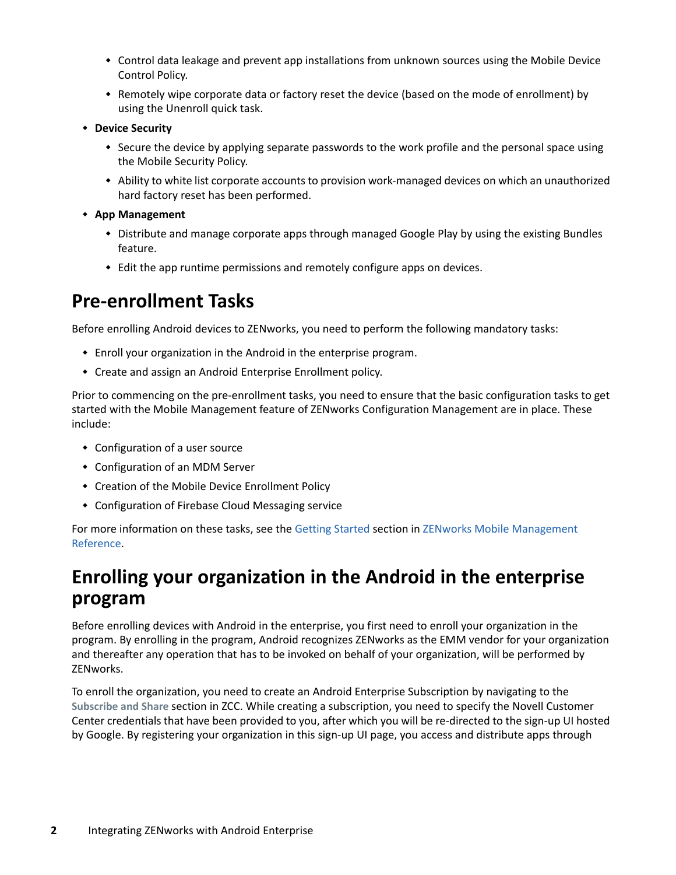- Control data leakage and prevent app installations from unknown sources using the Mobile Device Control Policy.
- Remotely wipe corporate data or factory reset the device (based on the mode of enrollment) by using the Unenroll quick task.
- **Device Security**
	- Secure the device by applying separate passwords to the work profile and the personal space using the Mobile Security Policy.
	- Ability to white list corporate accounts to provision work-managed devices on which an unauthorized hard factory reset has been performed.
- **App Management**
	- Distribute and manage corporate apps through managed Google Play by using the existing Bundles feature.
	- Edit the app runtime permissions and remotely configure apps on devices.

## **Pre-enrollment Tasks**

Before enrolling Android devices to ZENworks, you need to perform the following mandatory tasks:

- Enroll your organization in the Android in the enterprise program.
- Create and assign an Android Enterprise Enrollment policy.

Prior to commencing on the pre-enrollment tasks, you need to ensure that the basic configuration tasks to get started with the Mobile Management feature of ZENworks Configuration Management are in place. These include:

- Configuration of a user source
- Configuration of an MDM Server
- Creation of the Mobile Device Enrollment Policy
- Configuration of Firebase Cloud Messaging service

For more information on these tasks, see the [Getting Started](https://www.novell.com/documentation/zenworks-2020/pdfdoc/zen_mobile/zen_mobile.pdf#t47mbmxu2lxz) section in [ZENworks Mobile Management](https://www.novell.com/documentation/zenworks-2020/pdfdoc/zen_mobile/zen_mobile.pdf#bookinfo)  [Reference.](https://www.novell.com/documentation/zenworks-2020/pdfdoc/zen_mobile/zen_mobile.pdf#bookinfo)

## **Enrolling your organization in the Android in the enterprise program**

Before enrolling devices with Android in the enterprise, you first need to enroll your organization in the program. By enrolling in the program, Android recognizes ZENworks as the EMM vendor for your organization and thereafter any operation that has to be invoked on behalf of your organization, will be performed by ZENworks.

To enroll the organization, you need to create an Android Enterprise Subscription by navigating to the **Subscribe and Share** section in ZCC. While creating a subscription, you need to specify the Novell Customer Center credentials that have been provided to you, after which you will be re-directed to the sign-up UI hosted by Google. By registering your organization in this sign-up UI page, you access and distribute apps through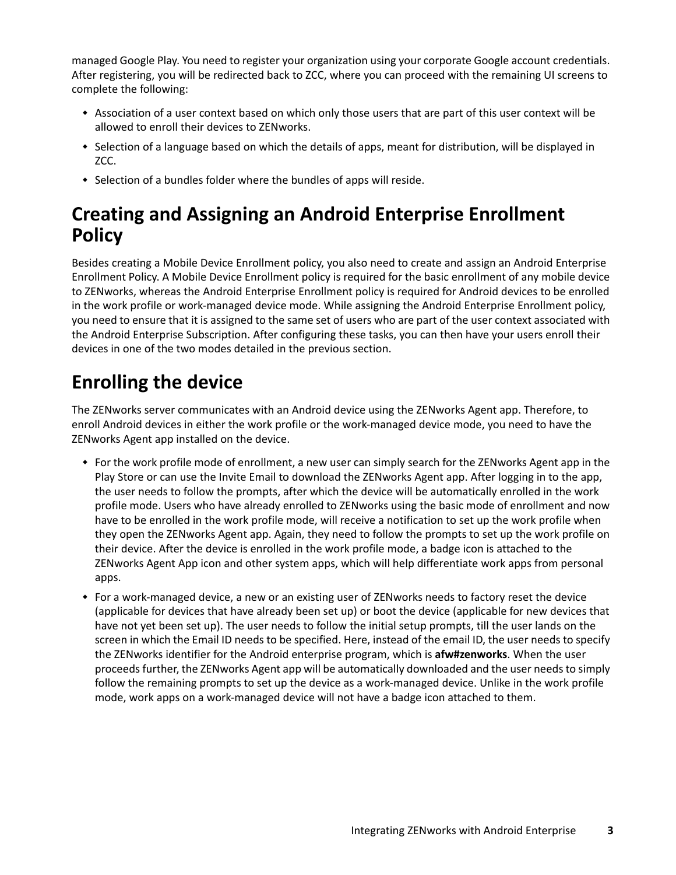managed Google Play. You need to register your organization using your corporate Google account credentials. After registering, you will be redirected back to ZCC, where you can proceed with the remaining UI screens to complete the following:

- Association of a user context based on which only those users that are part of this user context will be allowed to enroll their devices to ZENworks.
- Selection of a language based on which the details of apps, meant for distribution, will be displayed in ZCC.
- Selection of a bundles folder where the bundles of apps will reside.

# **Creating and Assigning an Android Enterprise Enrollment Policy**

Besides creating a Mobile Device Enrollment policy, you also need to create and assign an Android Enterprise Enrollment Policy. A Mobile Device Enrollment policy is required for the basic enrollment of any mobile device to ZENworks, whereas the Android Enterprise Enrollment policy is required for Android devices to be enrolled in the work profile or work-managed device mode. While assigning the Android Enterprise Enrollment policy, you need to ensure that it is assigned to the same set of users who are part of the user context associated with the Android Enterprise Subscription. After configuring these tasks, you can then have your users enroll their devices in one of the two modes detailed in the previous section.

# **Enrolling the device**

The ZENworks server communicates with an Android device using the ZENworks Agent app. Therefore, to enroll Android devices in either the work profile or the work-managed device mode, you need to have the ZENworks Agent app installed on the device.

- For the work profile mode of enrollment, a new user can simply search for the ZENworks Agent app in the Play Store or can use the Invite Email to download the ZENworks Agent app. After logging in to the app, the user needs to follow the prompts, after which the device will be automatically enrolled in the work profile mode. Users who have already enrolled to ZENworks using the basic mode of enrollment and now have to be enrolled in the work profile mode, will receive a notification to set up the work profile when they open the ZENworks Agent app. Again, they need to follow the prompts to set up the work profile on their device. After the device is enrolled in the work profile mode, a badge icon is attached to the ZENworks Agent App icon and other system apps, which will help differentiate work apps from personal apps.
- For a work-managed device, a new or an existing user of ZENworks needs to factory reset the device (applicable for devices that have already been set up) or boot the device (applicable for new devices that have not yet been set up). The user needs to follow the initial setup prompts, till the user lands on the screen in which the Email ID needs to be specified. Here, instead of the email ID, the user needs to specify the ZENworks identifier for the Android enterprise program, which is **afw#zenworks**. When the user proceeds further, the ZENworks Agent app will be automatically downloaded and the user needs to simply follow the remaining prompts to set up the device as a work-managed device. Unlike in the work profile mode, work apps on a work-managed device will not have a badge icon attached to them.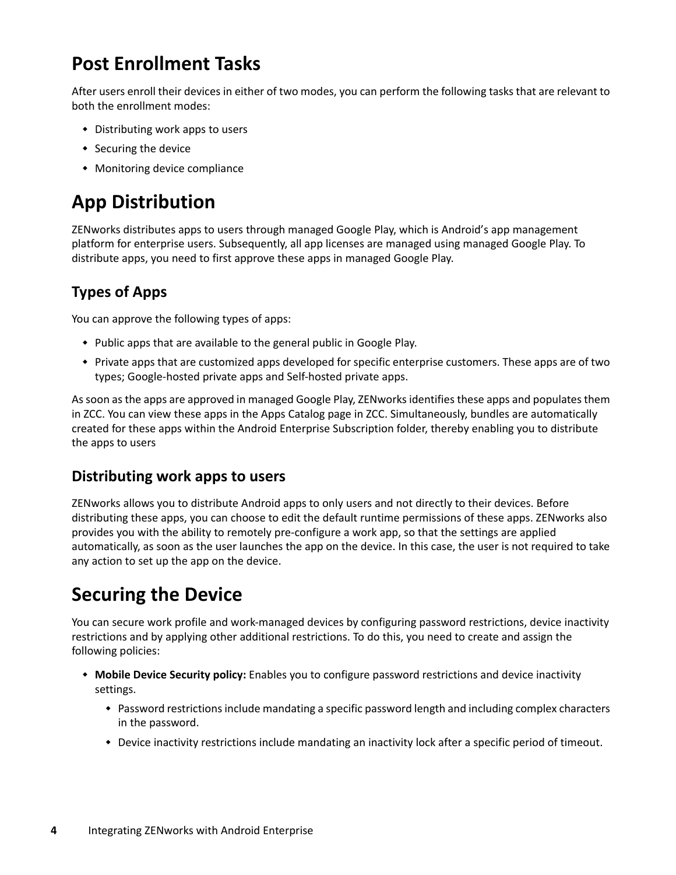# **Post Enrollment Tasks**

After users enroll their devices in either of two modes, you can perform the following tasks that are relevant to both the enrollment modes:

- Distributing work apps to users
- Securing the device
- Monitoring device compliance

# **App Distribution**

ZENworks distributes apps to users through managed Google Play, which is Android's app management platform for enterprise users. Subsequently, all app licenses are managed using managed Google Play. To distribute apps, you need to first approve these apps in managed Google Play.

#### **Types of Apps**

You can approve the following types of apps:

- Public apps that are available to the general public in Google Play.
- Private apps that are customized apps developed for specific enterprise customers. These apps are of two types; Google-hosted private apps and Self-hosted private apps.

As soon as the apps are approved in managed Google Play, ZENworks identifies these apps and populates them in ZCC. You can view these apps in the Apps Catalog page in ZCC. Simultaneously, bundles are automatically created for these apps within the Android Enterprise Subscription folder, thereby enabling you to distribute the apps to users

#### **Distributing work apps to users**

ZENworks allows you to distribute Android apps to only users and not directly to their devices. Before distributing these apps, you can choose to edit the default runtime permissions of these apps. ZENworks also provides you with the ability to remotely pre-configure a work app, so that the settings are applied automatically, as soon as the user launches the app on the device. In this case, the user is not required to take any action to set up the app on the device.

# **Securing the Device**

You can secure work profile and work-managed devices by configuring password restrictions, device inactivity restrictions and by applying other additional restrictions. To do this, you need to create and assign the following policies:

- **Mobile Device Security policy:** Enables you to configure password restrictions and device inactivity settings.
	- Password restrictions include mandating a specific password length and including complex characters in the password.
	- Device inactivity restrictions include mandating an inactivity lock after a specific period of timeout.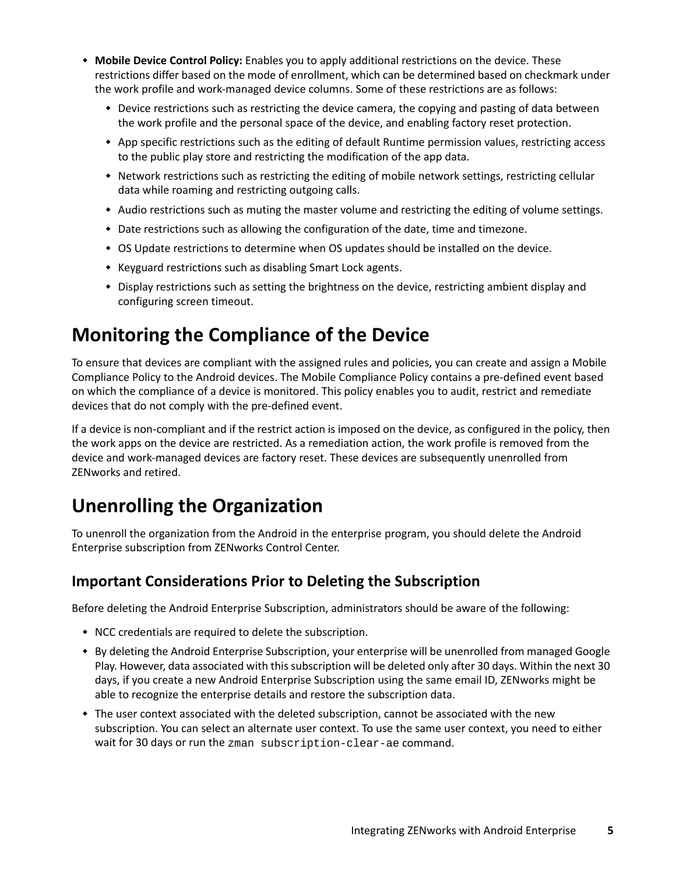- **Mobile Device Control Policy:** Enables you to apply additional restrictions on the device. These restrictions differ based on the mode of enrollment, which can be determined based on checkmark under the work profile and work-managed device columns. Some of these restrictions are as follows:
	- Device restrictions such as restricting the device camera, the copying and pasting of data between the work profile and the personal space of the device, and enabling factory reset protection.
	- App specific restrictions such as the editing of default Runtime permission values, restricting access to the public play store and restricting the modification of the app data.
	- \* Network restrictions such as restricting the editing of mobile network settings, restricting cellular data while roaming and restricting outgoing calls.
	- Audio restrictions such as muting the master volume and restricting the editing of volume settings.
	- Date restrictions such as allowing the configuration of the date, time and timezone.
	- OS Update restrictions to determine when OS updates should be installed on the device.
	- Keyguard restrictions such as disabling Smart Lock agents.
	- Display restrictions such as setting the brightness on the device, restricting ambient display and configuring screen timeout.

# **Monitoring the Compliance of the Device**

To ensure that devices are compliant with the assigned rules and policies, you can create and assign a Mobile Compliance Policy to the Android devices. The Mobile Compliance Policy contains a pre-defined event based on which the compliance of a device is monitored. This policy enables you to audit, restrict and remediate devices that do not comply with the pre-defined event.

If a device is non-compliant and if the restrict action is imposed on the device, as configured in the policy, then the work apps on the device are restricted. As a remediation action, the work profile is removed from the device and work-managed devices are factory reset. These devices are subsequently unenrolled from ZENworks and retired.

# **Unenrolling the Organization**

To unenroll the organization from the Android in the enterprise program, you should delete the Android Enterprise subscription from ZENworks Control Center.

#### **Important Considerations Prior to Deleting the Subscription**

Before deleting the Android Enterprise Subscription, administrators should be aware of the following:

- NCC credentials are required to delete the subscription.
- By deleting the Android Enterprise Subscription, your enterprise will be unenrolled from managed Google Play. However, data associated with this subscription will be deleted only after 30 days. Within the next 30 days, if you create a new Android Enterprise Subscription using the same email ID, ZENworks might be able to recognize the enterprise details and restore the subscription data.
- The user context associated with the deleted subscription, cannot be associated with the new subscription. You can select an alternate user context. To use the same user context, you need to either wait for 30 days or run the zman subscription-clear-ae command.